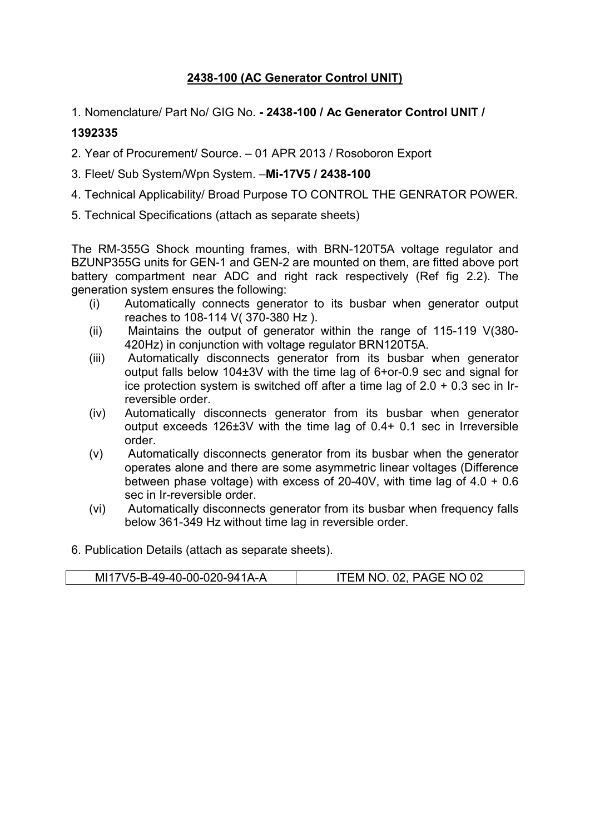## 2438-100 (AC Generator Control UNIT)

1. Nomenclature/ Part No/ GIG No. - 2438-100 / Ac Generator Control UNIT /

## 1392335

2. Year of Procurement/ Source. – 01 APR 2013 / Rosoboron Export

- 3. Fleet/ Sub System/Wpn System. –Mi-17V5 / 2438-100
- 4. Technical Applicability/ Broad Purpose TO CONTROL THE GENRATOR POWER.
- 5. Technical Specifications (attach as separate sheets)

The RM-355G Shock mounting frames, with BRN-120T5A voltage regulator and BZUNP355G units for GEN-1 and GEN-2 are mounted on them, are fitted above port battery compartment near ADC and right rack respectively (Ref fig 2.2). The generation system ensures the following:

- (i) Automatically connects generator to its busbar when generator output reaches to 108-114 V( 370-380 Hz ).
- (ii) Maintains the output of generator within the range of 115-119 V(380- 420Hz) in conjunction with voltage regulator BRN120T5A.
- (iii) Automatically disconnects generator from its busbar when generator output falls below 104±3V with the time lag of 6+or-0.9 sec and signal for ice protection system is switched off after a time lag of  $2.0 + 0.3$  sec in Irreversible order.
- (iv) Automatically disconnects generator from its busbar when generator output exceeds 126±3V with the time lag of 0.4+ 0.1 sec in Irreversible order.
- (v) Automatically disconnects generator from its busbar when the generator operates alone and there are some asymmetric linear voltages (Difference between phase voltage) with excess of 20-40V, with time lag of 4.0 + 0.6 sec in Ir-reversible order.
- (vi) Automatically disconnects generator from its busbar when frequency falls below 361-349 Hz without time lag in reversible order.
- 6. Publication Details (attach as separate sheets).

| MI17V5-B-49-40-00-020-941A-A | PAGE NO 02<br>nn.<br>NC. |
|------------------------------|--------------------------|
|------------------------------|--------------------------|